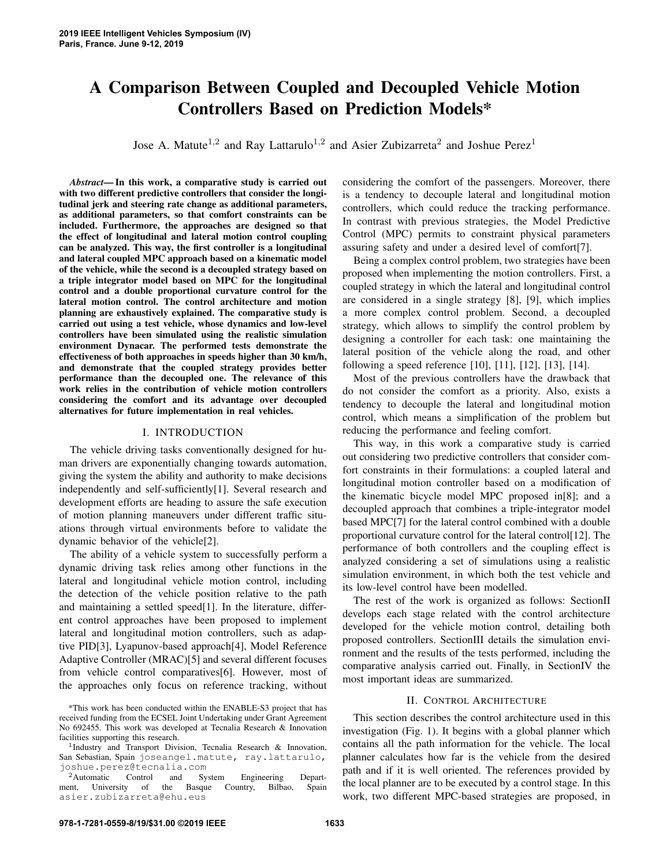# A Comparison Between Coupled and Decoupled Vehicle Motion Controllers Based on Prediction Models\*

Jose A. Matute<sup>1,2</sup> and Ray Lattarulo<sup>1,2</sup> and Asier Zubizarreta<sup>2</sup> and Joshue Perez<sup>1</sup>

*Abstract*— In this work, a comparative study is carried out with two different predictive controllers that consider the longitudinal jerk and steering rate change as additional parameters, as additional parameters, so that comfort constraints can be included. Furthermore, the approaches are designed so that the effect of longitudinal and lateral motion control coupling can be analyzed. This way, the first controller is a longitudinal and lateral coupled MPC approach based on a kinematic model of the vehicle, while the second is a decoupled strategy based on a triple integrator model based on MPC for the longitudinal control and a double proportional curvature control for the lateral motion control. The control architecture and motion planning are exhaustively explained. The comparative study is carried out using a test vehicle, whose dynamics and low-level controllers have been simulated using the realistic simulation environment Dynacar. The performed tests demonstrate the effectiveness of both approaches in speeds higher than 30 km/h, and demonstrate that the coupled strategy provides better performance than the decoupled one. The relevance of this work relies in the contribution of vehicle motion controllers considering the comfort and its advantage over decoupled alternatives for future implementation in real vehicles.

## I. INTRODUCTION

The vehicle driving tasks conventionally designed for human drivers are exponentially changing towards automation, giving the system the ability and authority to make decisions independently and self-sufficiently[1]. Several research and development efforts are heading to assure the safe execution of motion planning maneuvers under different traffic situations through virtual environments before to validate the dynamic behavior of the vehicle[2].

The ability of a vehicle system to successfully perform a dynamic driving task relies among other functions in the lateral and longitudinal vehicle motion control, including the detection of the vehicle position relative to the path and maintaining a settled speed[1]. In the literature, different control approaches have been proposed to implement lateral and longitudinal motion controllers, such as adaptive PID[3], Lyapunov-based approach[4], Model Reference Adaptive Controller (MRAC)[5] and several different focuses from vehicle control comparatives[6]. However, most of the approaches only focus on reference tracking, without considering the comfort of the passengers. Moreover, there is a tendency to decouple lateral and longitudinal motion controllers, which could reduce the tracking performance. In contrast with previous strategies, the Model Predictive Control (MPC) permits to constraint physical parameters assuring safety and under a desired level of comfort[7].

Being a complex control problem, two strategies have been proposed when implementing the motion controllers. First, a coupled strategy in which the lateral and longitudinal control are considered in a single strategy [8], [9], which implies a more complex control problem. Second, a decoupled strategy, which allows to simplify the control problem by designing a controller for each task: one maintaining the lateral position of the vehicle along the road, and other following a speed reference [10], [11], [12], [13], [14].

Most of the previous controllers have the drawback that do not consider the comfort as a priority. Also, exists a tendency to decouple the lateral and longitudinal motion control, which means a simplification of the problem but reducing the performance and feeling comfort.

This way, in this work a comparative study is carried out considering two predictive controllers that consider comfort constraints in their formulations: a coupled lateral and longitudinal motion controller based on a modification of the kinematic bicycle model MPC proposed in[8]; and a decoupled approach that combines a triple-integrator model based MPC[7] for the lateral control combined with a double proportional curvature control for the lateral control[12]. The performance of both controllers and the coupling effect is analyzed considering a set of simulations using a realistic simulation environment, in which both the test vehicle and its low-level control have been modelled.

The rest of the work is organized as follows: SectionII develops each stage related with the control architecture developed for the vehicle motion control, detailing both proposed controllers. SectionIII details the simulation environment and the results of the tests performed, including the comparative analysis carried out. Finally, in SectionIV the most important ideas are summarized.

### II. CONTROL ARCHITECTURE

This section describes the control architecture used in this investigation (Fig. 1). It begins with a global planner which contains all the path information for the vehicle. The local planner calculates how far is the vehicle from the desired path and if it is well oriented. The references provided by the local planner are to be executed by a control stage. In this work, two different MPC-based strategies are proposed, in

<sup>\*</sup>This work has been conducted within the ENABLE-S3 project that has received funding from the ECSEL Joint Undertaking under Grant Agreement No 692455. This work was developed at Tecnalia Research & Innovation facilities supporting this research.

<sup>&</sup>lt;sup>1</sup>Industry and Transport Division, Tecnalia Research & Innovation, San Sebastian, Spain joseangel.matute, ray.lattarulo, joshue.perez@tecnalia.com

<sup>&</sup>lt;sup>2</sup> Automatic Control and System Engineering Depart-<br>ent, University of the Basque Country, Bilbao, Spain ment, University of the Basque Country, Bilbao, Spain asier.zubizarreta@ehu.eus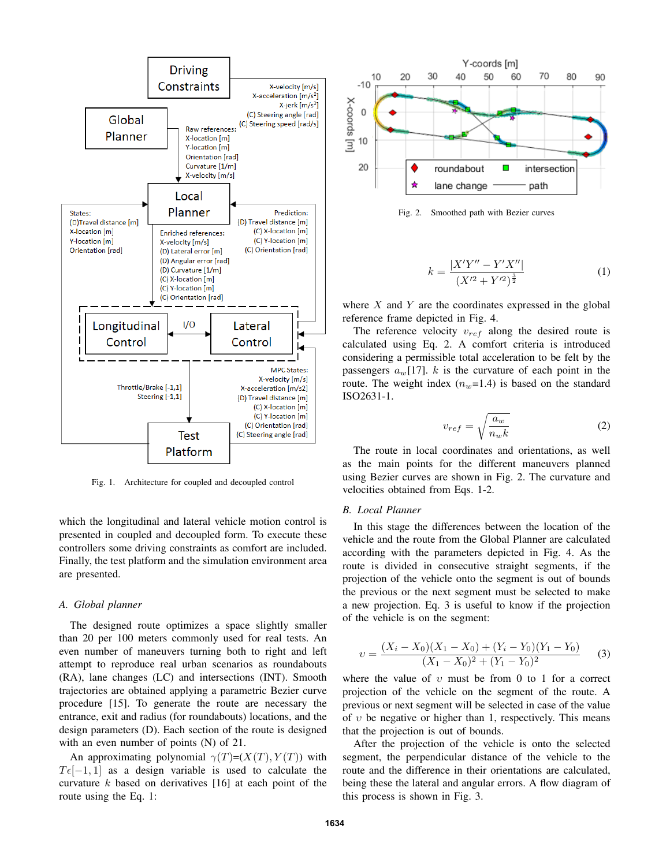

Fig. 1. Architecture for coupled and decoupled control

which the longitudinal and lateral vehicle motion control is presented in coupled and decoupled form. To execute these controllers some driving constraints as comfort are included. Finally, the test platform and the simulation environment area are presented.

#### *A. Global planner*

The designed route optimizes a space slightly smaller than 20 per 100 meters commonly used for real tests. An even number of maneuvers turning both to right and left attempt to reproduce real urban scenarios as roundabouts (RA), lane changes (LC) and intersections (INT). Smooth trajectories are obtained applying a parametric Bezier curve procedure [15]. To generate the route are necessary the entrance, exit and radius (for roundabouts) locations, and the design parameters (D). Each section of the route is designed with an even number of points (N) of 21.

An approximating polynomial  $\gamma(T)=(X(T), Y(T))$  with  $T\epsilon[-1, 1]$  as a design variable is used to calculate the curvature  $k$  based on derivatives [16] at each point of the route using the Eq. 1:



Fig. 2. Smoothed path with Bezier curves

$$
k = \frac{|X'Y'' - Y'X''|}{(X'^2 + Y'^2)^{\frac{3}{2}}}
$$
 (1)

where  $X$  and  $Y$  are the coordinates expressed in the global reference frame depicted in Fig. 4.

The reference velocity  $v_{ref}$  along the desired route is calculated using Eq. 2. A comfort criteria is introduced considering a permissible total acceleration to be felt by the passengers  $a_w$ [17]. k is the curvature of each point in the route. The weight index  $(n_w=1.4)$  is based on the standard ISO2631-1.

$$
v_{ref} = \sqrt{\frac{a_w}{n_w k}}
$$
 (2)

The route in local coordinates and orientations, as well as the main points for the different maneuvers planned using Bezier curves are shown in Fig. 2. The curvature and velocities obtained from Eqs. 1-2.

#### *B. Local Planner*

In this stage the differences between the location of the vehicle and the route from the Global Planner are calculated according with the parameters depicted in Fig. 4. As the route is divided in consecutive straight segments, if the projection of the vehicle onto the segment is out of bounds the previous or the next segment must be selected to make a new projection. Eq. 3 is useful to know if the projection of the vehicle is on the segment:

$$
v = \frac{(X_i - X_0)(X_1 - X_0) + (Y_i - Y_0)(Y_1 - Y_0)}{(X_1 - X_0)^2 + (Y_1 - Y_0)^2}
$$
 (3)

where the value of  $v$  must be from 0 to 1 for a correct projection of the vehicle on the segment of the route. A previous or next segment will be selected in case of the value of  $v$  be negative or higher than 1, respectively. This means that the projection is out of bounds.

After the projection of the vehicle is onto the selected segment, the perpendicular distance of the vehicle to the route and the difference in their orientations are calculated, being these the lateral and angular errors. A flow diagram of this process is shown in Fig. 3.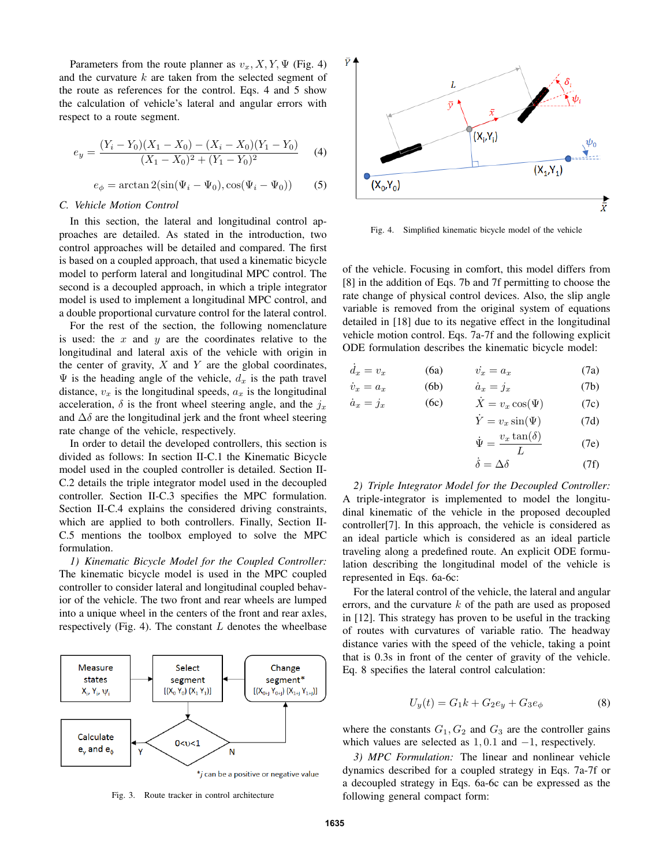Parameters from the route planner as  $v_x, X, Y, \Psi$  (Fig. 4) and the curvature  $k$  are taken from the selected segment of the route as references for the control. Eqs. 4 and 5 show the calculation of vehicle's lateral and angular errors with respect to a route segment.

$$
e_y = \frac{(Y_i - Y_0)(X_1 - X_0) - (X_i - X_0)(Y_1 - Y_0)}{(X_1 - X_0)^2 + (Y_1 - Y_0)^2}
$$
 (4)

$$
e_{\phi} = \arctan 2(\sin(\Psi_i - \Psi_0), \cos(\Psi_i - \Psi_0))
$$
 (5)

## *C. Vehicle Motion Control*

In this section, the lateral and longitudinal control approaches are detailed. As stated in the introduction, two control approaches will be detailed and compared. The first is based on a coupled approach, that used a kinematic bicycle model to perform lateral and longitudinal MPC control. The second is a decoupled approach, in which a triple integrator model is used to implement a longitudinal MPC control, and a double proportional curvature control for the lateral control.

For the rest of the section, the following nomenclature is used: the  $x$  and  $y$  are the coordinates relative to the longitudinal and lateral axis of the vehicle with origin in the center of gravity,  $X$  and  $Y$  are the global coordinates,  $\Psi$  is the heading angle of the vehicle,  $d_x$  is the path travel distance,  $v_x$  is the longitudinal speeds,  $a_x$  is the longitudinal acceleration,  $\delta$  is the front wheel steering angle, and the  $j_x$ and  $\Delta\delta$  are the longitudinal jerk and the front wheel steering rate change of the vehicle, respectively.

In order to detail the developed controllers, this section is divided as follows: In section II-C.1 the Kinematic Bicycle model used in the coupled controller is detailed. Section II-C.2 details the triple integrator model used in the decoupled controller. Section II-C.3 specifies the MPC formulation. Section II-C.4 explains the considered driving constraints, which are applied to both controllers. Finally, Section II-C.5 mentions the toolbox employed to solve the MPC formulation.

*1) Kinematic Bicycle Model for the Coupled Controller:* The kinematic bicycle model is used in the MPC coupled controller to consider lateral and longitudinal coupled behavior of the vehicle. The two front and rear wheels are lumped into a unique wheel in the centers of the front and rear axles, respectively (Fig. 4). The constant  $L$  denotes the wheelbase



Fig. 3. Route tracker in control architecture



Fig. 4. Simplified kinematic bicycle model of the vehicle

of the vehicle. Focusing in comfort, this model differs from [8] in the addition of Eqs. 7b and 7f permitting to choose the rate change of physical control devices. Also, the slip angle variable is removed from the original system of equations detailed in [18] due to its negative effect in the longitudinal vehicle motion control. Eqs. 7a-7f and the following explicit ODE formulation describes the kinematic bicycle model:

$$
\dot{d}_x = v_x \qquad (6a) \qquad \dot{v}_x = a_x \qquad (7a)
$$

$$
\dot{v}_x = a_x \qquad (6b) \qquad \dot{a}_x = j_x \qquad (7b)
$$

$$
\dot{a}_x = j_x \qquad (6c) \qquad \dot{X} = v_x \cos(\Psi) \qquad (7c)
$$

$$
\dot{Y} = v_x \sin(\Psi) \tag{7d}
$$

$$
\dot{\Psi} = \frac{v_x \tan(\delta)}{L} \tag{7e}
$$

$$
\dot{\delta} = \Delta \delta \tag{7f}
$$

*2) Triple Integrator Model for the Decoupled Controller:* A triple-integrator is implemented to model the longitudinal kinematic of the vehicle in the proposed decoupled controller[7]. In this approach, the vehicle is considered as an ideal particle which is considered as an ideal particle traveling along a predefined route. An explicit ODE formulation describing the longitudinal model of the vehicle is represented in Eqs. 6a-6c:

For the lateral control of the vehicle, the lateral and angular errors, and the curvature  $k$  of the path are used as proposed in [12]. This strategy has proven to be useful in the tracking of routes with curvatures of variable ratio. The headway distance varies with the speed of the vehicle, taking a point that is 0.3s in front of the center of gravity of the vehicle. Eq. 8 specifies the lateral control calculation:

$$
U_y(t) = G_1k + G_2e_y + G_3e_{\phi}
$$
 (8)

where the constants  $G_1, G_2$  and  $G_3$  are the controller gains which values are selected as  $1, 0.1$  and  $-1$ , respectively.

*3) MPC Formulation:* The linear and nonlinear vehicle dynamics described for a coupled strategy in Eqs. 7a-7f or a decoupled strategy in Eqs. 6a-6c can be expressed as the following general compact form: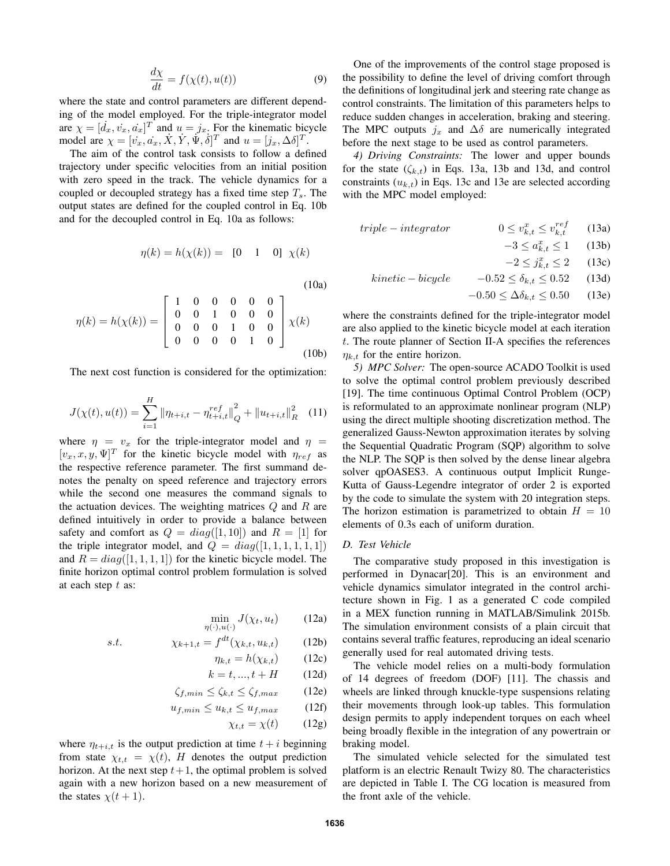$$
\frac{d\chi}{dt} = f(\chi(t), u(t))\tag{9}
$$

where the state and control parameters are different depending of the model employed. For the triple-integrator model are  $\chi = [d_x, v_x, a_x]^T$  and  $u = j_x$ . For the kinematic bicycle model are  $\chi = [\dot{v}_x, \dot{a}_x, \dot{X}, \dot{Y}, \dot{\Psi}, \dot{\delta}]^T$  and  $u = [j_x, \Delta \delta]^T$ .

The aim of the control task consists to follow a defined trajectory under specific velocities from an initial position with zero speed in the track. The vehicle dynamics for a coupled or decoupled strategy has a fixed time step  $T_s$ . The output states are defined for the coupled control in Eq. 10b and for the decoupled control in Eq. 10a as follows:

$$
\eta(k) = h(\chi(k)) = [0 \ 1 \ 0] \ \chi(k)
$$

(10a)

$$
\eta(k) = h(\chi(k)) = \begin{bmatrix} 1 & 0 & 0 & 0 & 0 & 0 \\ 0 & 0 & 1 & 0 & 0 & 0 \\ 0 & 0 & 0 & 1 & 0 & 0 \\ 0 & 0 & 0 & 0 & 1 & 0 \end{bmatrix} \chi(k)
$$
\n(10b)

The next cost function is considered for the optimization:

$$
J(\chi(t), u(t)) = \sum_{i=1}^{H} \|\eta_{t+i,t} - \eta_{t+i,t}^{ref}\|_{Q}^{2} + \|u_{t+i,t}\|_{R}^{2} \quad (11)
$$

where  $\eta = v_x$  for the triple-integrator model and  $\eta =$  $[v_x, x, y, \Psi]^T$  for the kinetic bicycle model with  $\eta_{ref}$  as the respective reference parameter. The first summand denotes the penalty on speed reference and trajectory errors while the second one measures the command signals to the actuation devices. The weighting matrices  $Q$  and  $R$  are defined intuitively in order to provide a balance between safety and comfort as  $Q = diag([1, 10])$  and  $R = [1]$  for the triple integrator model, and  $Q = diag([1, 1, 1, 1, 1, 1])$ and  $R = diag([1, 1, 1, 1])$  for the kinetic bicycle model. The finite horizon optimal control problem formulation is solved at each step  $t$  as:

$$
\min_{\eta(\cdot), u(\cdot)} J(\chi_t, u_t) \tag{12a}
$$

$$
s.t. \qquad \chi_{k+1,t} = f^{dt}(\chi_{k,t}, u_{k,t}) \qquad (12b)
$$

$$
\eta_{k,t} = h(\chi_{k,t}) \qquad (12c)
$$

$$
k = t, \ldots, t + H \qquad (12d)
$$

$$
\zeta_{f,min} \le \zeta_{k,t} \le \zeta_{f,max} \qquad (12e)
$$

$$
u_{f,min} \le u_{k,t} \le u_{f,max} \tag{12f}
$$

$$
\chi_{t,t} = \chi(t) \qquad (12g)
$$

where  $\eta_{t+i,t}$  is the output prediction at time  $t + i$  beginning from state  $\chi_{t,t} = \chi(t)$ , H denotes the output prediction horizon. At the next step  $t+1$ , the optimal problem is solved again with a new horizon based on a new measurement of the states  $\chi(t+1)$ .

One of the improvements of the control stage proposed is the possibility to define the level of driving comfort through the definitions of longitudinal jerk and steering rate change as control constraints. The limitation of this parameters helps to reduce sudden changes in acceleration, braking and steering. The MPC outputs  $j_x$  and  $\Delta\delta$  are numerically integrated before the next stage to be used as control parameters.

*4) Driving Constraints:* The lower and upper bounds for the state  $(\zeta_{k,t})$  in Eqs. 13a, 13b and 13d, and control constraints  $(u_{k,t})$  in Eqs. 13c and 13e are selected according with the MPC model employed:

$$
triple-integrate \qquad \qquad 0 \le v_{k,t}^x \le v_{k,t}^{ref} \qquad (13a)
$$

$$
-3 \le a_{k,t}^x \le 1 \qquad (13b)
$$

$$
-2 \le j_{k,t}^x \le 2 \qquad (13c)
$$

$$
kinetic - bicycle \t -0.52 \le \delta_{k,t} \le 0.52 \t (13d)
$$

 $-0.50 \le \Delta \delta_{k,t} \le 0.50$  (13e)

where the constraints defined for the triple-integrator model are also applied to the kinetic bicycle model at each iteration t. The route planner of Section II-A specifies the references  $\eta_{k,t}$  for the entire horizon.

*5) MPC Solver:* The open-source ACADO Toolkit is used to solve the optimal control problem previously described [19]. The time continuous Optimal Control Problem (OCP) is reformulated to an approximate nonlinear program (NLP) using the direct multiple shooting discretization method. The generalized Gauss-Newton approximation iterates by solving the Sequential Quadratic Program (SQP) algorithm to solve the NLP. The SQP is then solved by the dense linear algebra solver qpOASES3. A continuous output Implicit Runge-Kutta of Gauss-Legendre integrator of order 2 is exported by the code to simulate the system with 20 integration steps. The horizon estimation is parametrized to obtain  $H = 10$ elements of 0.3s each of uniform duration.

#### *D. Test Vehicle*

The comparative study proposed in this investigation is performed in Dynacar[20]. This is an environment and vehicle dynamics simulator integrated in the control architecture shown in Fig. 1 as a generated C code compiled in a MEX function running in MATLAB/Simulink 2015b. The simulation environment consists of a plain circuit that contains several traffic features, reproducing an ideal scenario generally used for real automated driving tests.

The vehicle model relies on a multi-body formulation of 14 degrees of freedom (DOF) [11]. The chassis and wheels are linked through knuckle-type suspensions relating their movements through look-up tables. This formulation design permits to apply independent torques on each wheel being broadly flexible in the integration of any powertrain or braking model.

The simulated vehicle selected for the simulated test platform is an electric Renault Twizy 80. The characteristics are depicted in Table I. The CG location is measured from the front axle of the vehicle.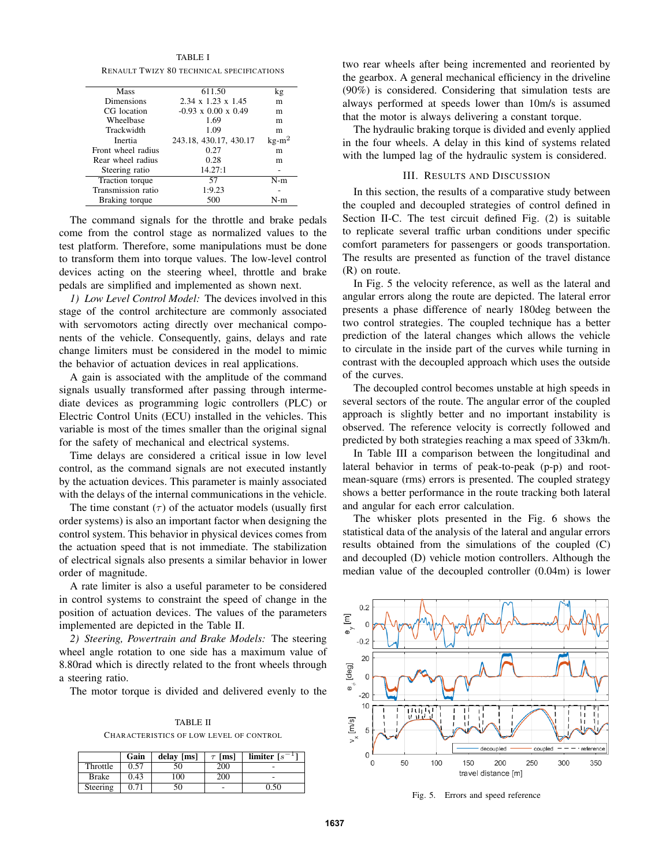TABLE I RENAULT TWIZY 80 TECHNICAL SPECIFICATIONS

| <b>Mass</b>        | 611.50                          | kg      |
|--------------------|---------------------------------|---------|
| Dimensions         | $2.34 \times 1.23 \times 1.45$  | m       |
| CG location        | $-0.93 \times 0.00 \times 0.49$ | m       |
| Wheelbase          | 1.69                            | m       |
| Trackwidth         | 1.09                            | m       |
| Inertia            | 243.18, 430.17, 430.17          | $kg-m2$ |
| Front wheel radius | 0.27                            | m       |
| Rear wheel radius  | 0.28                            | m       |
| Steering ratio     | 14.27:1                         |         |
| Traction torque    | 57                              | N-m     |
| Transmission ratio | 1:9.23                          |         |
| Braking torque     | 500                             | N-m     |
|                    |                                 |         |

The command signals for the throttle and brake pedals come from the control stage as normalized values to the test platform. Therefore, some manipulations must be done to transform them into torque values. The low-level control devices acting on the steering wheel, throttle and brake pedals are simplified and implemented as shown next.

*1) Low Level Control Model:* The devices involved in this stage of the control architecture are commonly associated with servomotors acting directly over mechanical components of the vehicle. Consequently, gains, delays and rate change limiters must be considered in the model to mimic the behavior of actuation devices in real applications.

A gain is associated with the amplitude of the command signals usually transformed after passing through intermediate devices as programming logic controllers (PLC) or Electric Control Units (ECU) installed in the vehicles. This variable is most of the times smaller than the original signal for the safety of mechanical and electrical systems.

Time delays are considered a critical issue in low level control, as the command signals are not executed instantly by the actuation devices. This parameter is mainly associated with the delays of the internal communications in the vehicle.

The time constant  $(\tau)$  of the actuator models (usually first order systems) is also an important factor when designing the control system. This behavior in physical devices comes from the actuation speed that is not immediate. The stabilization of electrical signals also presents a similar behavior in lower order of magnitude.

A rate limiter is also a useful parameter to be considered in control systems to constraint the speed of change in the position of actuation devices. The values of the parameters implemented are depicted in the Table II.

*2) Steering, Powertrain and Brake Models:* The steering wheel angle rotation to one side has a maximum value of 8.80rad which is directly related to the front wheels through a steering ratio.

The motor torque is divided and delivered evenly to the

TABLE II CHARACTERISTICS OF LOW LEVEL OF CONTROL

|              | Gain | delay [ms] | $\tau$ [ms] | limiter $[s^{-1}]$ |
|--------------|------|------------|-------------|--------------------|
| Throttle     | 0.57 | 50         | <b>200</b>  |                    |
| <b>Brake</b> | 0.43 | 100        | <b>200</b>  |                    |
| Steering     | 0.71 | 50         | ۰           | 0.50               |

two rear wheels after being incremented and reoriented by the gearbox. A general mechanical efficiency in the driveline (90%) is considered. Considering that simulation tests are always performed at speeds lower than 10m/s is assumed that the motor is always delivering a constant torque.

The hydraulic braking torque is divided and evenly applied in the four wheels. A delay in this kind of systems related with the lumped lag of the hydraulic system is considered.

## III. RESULTS AND DISCUSSION

In this section, the results of a comparative study between the coupled and decoupled strategies of control defined in Section II-C. The test circuit defined Fig. (2) is suitable to replicate several traffic urban conditions under specific comfort parameters for passengers or goods transportation. The results are presented as function of the travel distance (R) on route.

In Fig. 5 the velocity reference, as well as the lateral and angular errors along the route are depicted. The lateral error presents a phase difference of nearly 180deg between the two control strategies. The coupled technique has a better prediction of the lateral changes which allows the vehicle to circulate in the inside part of the curves while turning in contrast with the decoupled approach which uses the outside of the curves.

The decoupled control becomes unstable at high speeds in several sectors of the route. The angular error of the coupled approach is slightly better and no important instability is observed. The reference velocity is correctly followed and predicted by both strategies reaching a max speed of 33km/h.

In Table III a comparison between the longitudinal and lateral behavior in terms of peak-to-peak (p-p) and rootmean-square (rms) errors is presented. The coupled strategy shows a better performance in the route tracking both lateral and angular for each error calculation.

The whisker plots presented in the Fig. 6 shows the statistical data of the analysis of the lateral and angular errors results obtained from the simulations of the coupled (C) and decoupled (D) vehicle motion controllers. Although the median value of the decoupled controller (0.04m) is lower



Fig. 5. Errors and speed reference